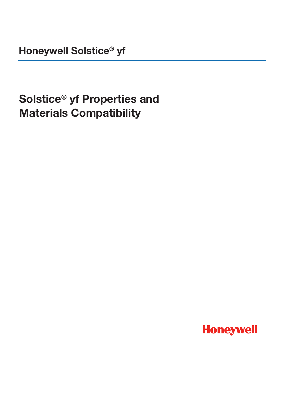**Honeywell Solstice® yf**

# **Solstice® yf Properties and Materials Compatibility**

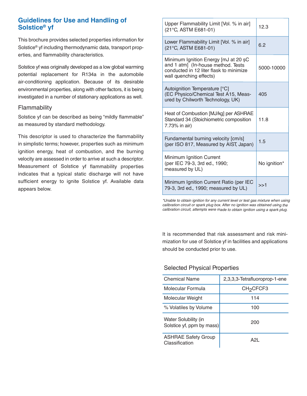## **Guidelines for Use and Handling of Solstice® yf**

This brochure provides selected properties information for Solstice® yf including thermodynamic data, transport properties, and flammability characteristics.

Solstice yf was originally developed as a low global warming potential replacement for R134a in the automobile air-conditioning application. Because of its desirable environmental properties, along with other factors, it is being investigated in a number of stationary applications as well.

#### Flammability

Solstice yf can be described as being "mildly flammable" as measured by standard methodology.

This descriptor is used to characterize the flammability in simplistic terms; however, properties such as minimum ignition energy, heat of combustion, and the burning velocity are assessed in order to arrive at such a descriptor. Measurement of Solstice yf flammability properties indicates that a typical static discharge will not have sufficient energy to ignite Solstice yf. Available data appears below.

| Upper Flammability Limit [Vol. % in air]<br>(21°C, ASTM E681-01)                                                                                 | 12.3         |
|--------------------------------------------------------------------------------------------------------------------------------------------------|--------------|
| Lower Flammability Limit [Vol. % in air]<br>(21°C, ASTM E681-01)                                                                                 | 6.2          |
| Minimum Ignition Energy [mJ at 20 șC<br>and 1 atm] (In-house method. Tests<br>conducted in 12 liter flask to minimize<br>wall quenching effects) | 5000-10000   |
| Autoignition Temperature [°C]<br>(EC Physico/Chemical Test A15, Meas-<br>ured by Chilworth Technology, UK)                                       | 405          |
| Heat of Combustion [MJ/kg] per ASHRAE<br>Standard 34 (Stoichiometric composition<br>7.73% in air)                                                | 11.8         |
| Fundamental burning velocity [cm/s]<br>(per ISO 817, Measured by AIST, Japan)                                                                    | 1.5          |
| Minimum Ignition Current<br>(per IEC 79-3, 3rd ed., 1990;<br>measured by UL)                                                                     | No ignition* |
| Minimum Ignition Current Ratio (per IEC<br>79-3, 3rd ed., 1990; measured by UL)                                                                  | >>1          |

*\*Unable to obtain ignition for any current level or test gas mixture when using calibration circuit or spark plug box. After no ignition was obtained using the calibration circuit, attempts were made to obtain ignition using <sup>a</sup> spark plug.*

It is recommended that risk assessment and risk minimization for use of Solstice yf in facilities and applications should be conducted prior to use.

#### Selected Physical Properties

| <b>Chemical Name</b>                              | 2,3,3,3-Tetrafluoroprop-1-ene |
|---------------------------------------------------|-------------------------------|
| Molecular Formula                                 | CH <sub>2</sub> CFCF3         |
| Molecular Weight                                  | 114                           |
| % Volatiles by Volume                             | 100                           |
| Water Solubility (in<br>Solstice yf, ppm by mass) | 200                           |
| <b>ASHRAE Safety Group</b><br>Classification      | A2L                           |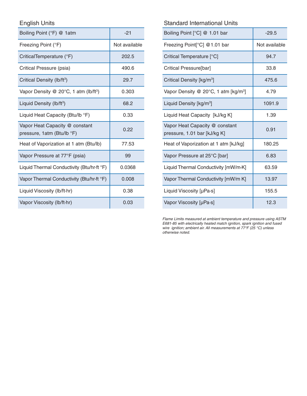English Units

| Boiling Point (°F) @ 1atm                                    | $-21$         |
|--------------------------------------------------------------|---------------|
| Freezing Point (°F)                                          | Not available |
| CriticalTemperature (°F)                                     | 202.5         |
| Critical Pressure (psia)                                     | 490.6         |
| Critical Density (lb/ft <sup>3</sup> )                       | 29.7          |
| Vapor Density @ 20 $\degree$ C, 1 atm (lb/ft $\degree$ )     | 0.303         |
| Liquid Density (lb/ft <sup>3</sup> )                         | 68.2          |
| Liquid Heat Capacity (Btu/lb °F)                             | 0.33          |
| Vapor Heat Capacity @ constant<br>pressure, 1atm (Btu/lb °F) | 0.22          |
| Heat of Vaporization at 1 atm (Btu/lb)                       | 77.53         |
| Vapor Pressure at 77°F (psia)                                | 99            |
| Liquid Thermal Conductivity (Btu/hr-ft °F)                   | 0.0368        |
| Vapor Thermal Conductivity (Btu/hr-ft °F)                    | 0.008         |
| Liquid Viscosity (lb/ft-hr)                                  | 0.38          |
| Vapor Viscosity (lb/ft·hr)                                   | 0.03          |

## Standard International Units

| Boiling Point [°C] @ 1.01 bar                                  | $-29.5$       |  |
|----------------------------------------------------------------|---------------|--|
| Freezing Point[°C] @1.01 bar                                   | Not available |  |
| Critical Temperature [°C]                                      | 94.7          |  |
| Critical Pressure[bar]                                         | 33.8          |  |
| Critical Density [kg/m <sup>3</sup> ]                          | 475.6         |  |
| Vapor Density @ 20°C, 1 atm [kg/m <sup>3</sup> ]               | 4.79          |  |
| Liquid Density [kg/m <sup>3</sup> ]                            | 1091.9        |  |
| Liquid Heat Capacity [kJ/kg K]                                 | 1.39          |  |
| Vapor Heat Capacity @ constant<br>pressure, 1.01 bar [kJ/kg K] | 0.91          |  |
| Heat of Vaporization at 1 atm [kJ/kg]                          | 180.25        |  |
| Vapor Pressure at 25°C [bar]                                   | 6.83          |  |
| Liquid Thermal Conductivity [mW/m·K]                           | 63.59         |  |
| Vapor Thermal Conductivity [mW/m K]                            | 13.97         |  |
| Liquid Viscosity [µPa·s]                                       | 155.5         |  |
| Vapor Viscosity [µPa·s]                                        | 12.3          |  |

*Flame Limits measured at ambient temperature and pressure using ASTM E681-85 with electrically heated match ignition, spark ignition and fused wire ignition; ambient air. All measurements at 77°F (25 °C) unless otherwise noted.*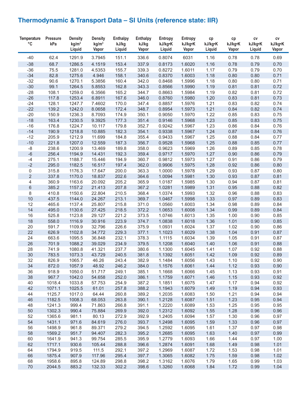## **Thermodynamic & Transport Data – SI Units (reference state: IIR)**

| <b>Temperature</b><br>$^{\circ}{\rm C}$ | <b>Pressure</b><br>kPa | <b>Density</b><br>kg/m <sup>3</sup> | <b>Density</b><br>kg/m <sup>3</sup> | <b>Enthalpy</b><br>kJ/kg | <b>Enthalpy</b><br>kJ/kg | <b>Entropy</b><br>kJ/kg•K | <b>Entropy</b><br>kJ/kg•K | cp<br>kJ/kg•K | cp<br>kJ/kg•K | ${\sf cv}$<br>kJ/kg•K | ${\sf CV}$<br>kJ/kg•K |
|-----------------------------------------|------------------------|-------------------------------------|-------------------------------------|--------------------------|--------------------------|---------------------------|---------------------------|---------------|---------------|-----------------------|-----------------------|
|                                         |                        | Liquid                              | Vapor                               | Liquid                   | Vapor                    | Liquid                    | Vapor                     | Liquid        | Vapor         | Liquid                | Vapor                 |
| $-40$                                   | 62.4                   | 1291.9                              | 3.7945                              | 151.1                    | 336.6                    | 0.8074                    | 6031                      | 1.16          | 0.78          | 0.78                  | 0.69                  |
| $-38$                                   | 68.7                   | 1286.5                              | 4.1519                              | 153.4                    | 337.9                    | 0.8173                    | 1.6020                    | 1.16          | 0.78          | 0.79                  | 0.70                  |
| $-36$                                   | 75.5                   | 1281.0                              | 4.5353                              | 155.7                    | 339.3                    | 0.8272                    | 1.6011                    | 1.17          | 0.79          | 0.79                  | 0.70                  |
| $-34$                                   | 82.8                   | 1275.6                              | 4.946                               | 158.1                    | 340.6                    | 0.8370                    | 1.6003                    | 1.18          | 0.80          | 0.80                  | 0.71                  |
| $-32$                                   | 90.6                   | 1270.1                              | 5.3856                              | 160.4                    | 342.0                    | 0.8468                    | 1.5996                    | 1.18          | 0.80          | 0.80                  | 0.71                  |
| $-30$                                   | 99.1                   | 1264.5                              | 5.8553                              | 162.8                    | 343.3                    | 0.8566                    | 1.5990                    | 1.19          | 0.81          | 0.81                  | 0.72                  |
| $-28$                                   | 108.1                  | 1259.0                              | 6.3566                              | 165.2                    | 344.7                    | 0.8663                    | 1.5984                    | 1.19          | 0.82          | 0.81                  | 0.72                  |
| $-26$                                   | 117.8                  | 1253.4                              | 6.8911                              | 167.6                    | 346.0                    | 0.8760                    | 1.5980                    | 1.20          | 0.83          | 0.81                  | 0.73                  |
| $-24$                                   | 128.1                  | 1247.7                              | 7.4602                              | 170.0                    | 347.4                    | 0.8857                    | 1.5976                    | 1.21          | 0.83          | 0.82                  | 0.74                  |
| $-22$                                   | 139.2                  | 1242.0                              | 8.0658                              | 172.4                    | 348.7                    | 0.8954                    | 1.5973                    | 1.21          | 0.84          | 0.82                  | 0.74                  |
| $-20$                                   | 150.9                  | 1236.3                              | 8.7093                              | 174.9                    | 350.1                    | 0.9050                    | 1.5970                    | 1.22          | 0.85          | 0.83                  | 0.75                  |
| $-18$                                   | 163.4                  | 1230.5                              | 9.3925                              | 177.3                    | 351.4                    | 0.9146                    | 1.5968                    | 1.23          | 0.85          | 0.83                  | 0.75                  |
| $-16$                                   | 176.8                  | 1224.7                              | 10.117                              | 179.8                    | 352.7                    | 0.9242                    | 1.5967                    | 1.23          | 0.86          | 0.84                  | 0.76                  |
| $-14$                                   | 190.9                  | 1218.8                              | 10.885                              | 182.3                    | 354.1                    | 0.9338                    | 1.5967                    | 1.24          | 0.87          | 0.84                  | 0.76                  |
| $-12$                                   | 205.9                  | 1212.9                              | 11.699                              | 184.8                    | 355.4                    | 0.9433                    | 1.5967                    | 1.25          | 0.88          | 0.84                  | 0.77                  |
| $-10$                                   | 221.8                  | 1207.0                              | 12.559                              | 187.3                    | 356.7                    | 0.9528                    | 1.5968                    | 1.25          | 0.88          | 0.85                  | 0.77                  |
| $-8$                                    | 238.6                  | 1200.9                              | 13.469                              | 189.8                    | 358.0                    | 0.9623                    | 1.5969                    | 1.26          | 0.89          | 0.85                  | 0.78                  |
| $-6$                                    | 256.4                  | 1194.9                              | 14.431                              | 192.3                    | 359.4                    | 0.9717                    | 1.5970                    | 1.27          | 0.90          | 0.86                  | 0.79                  |
| $-4$                                    | 275.1                  | 1188.7                              | 15.446                              | 194.9                    | 360.7                    | 0.9812                    | 1.5973                    | 1.27          | 0.91          | 0.86                  | 0.79                  |
| $-2$                                    | 295.0                  | 1182.5                              | 16.517                              | 197.4                    | 362.0                    | 0.9906                    | 1.5975                    | 1.28          | 0.92          | 0.86                  | 0.80                  |
| $\mathbf 0$                             | 315.8                  | 1176.3                              | 17.647                              | 200.0                    | 363.3                    | 1.0000                    | 1.5978                    | 1.29          | 0.93          | 0.87                  | 0.80                  |
| $\overline{2}$                          | 337.8                  | 1170.0                              | 18.837                              | 202.6                    | 364.6                    | 1.0094                    | 1.5981                    | 1.30          | 0.93          | 0.87                  | 0.81                  |
| 4                                       | 360.9                  | 1163.6                              | 20.092                              | 205.2                    | 365.9                    | 1.0187                    | 1.5985                    | 1.30          | 0.94          | 0.87                  | 0.81                  |
| $\,6\,$                                 | 385.2                  | 1157.2                              | 21.413                              | 207.8                    | 367.2                    | 1.0281                    | 1.5989                    | 1.31          | 0.95          | 0.88                  | 0.82                  |
| 8                                       | 410.8                  | 1150.6                              | 22.804                              | 210.5                    | 368.4                    | 1.0374                    | 1.5993                    | 1.32          | 0.96          | 0.88                  | 0.83                  |
| 10                                      | 437.5                  | 1144.0                              | 24.267                              | 213.1                    | 369.7                    | 1.0467                    | 1.5998                    | 1.33          | 0.97          | 0.89                  | 0.83                  |
| 12                                      | 465.6                  | 1137.4                              | 25.807                              | 215.8                    | 371.0                    | 1.0560                    | 1.6003                    | 1.34          | 0.98          | 0.89                  | 0.84                  |
| 14                                      | 495.0                  | 1130.6                              | 27.425                              | 218.5                    | 372.2                    | 1.0653                    | 1.6008                    | 1.34          | 0.99          | 0.89                  | 0.84                  |
| 16                                      | 525.8                  | 1123.8                              | 29.127                              | 221.2                    | 373.5                    | 1.0746                    | 1.6013                    | 1.35          | 1.00          | 0.90                  | 0.85                  |
| 18                                      | 558.0                  | 1116.9                              | 30.916                              | 223.9                    | 374.7                    | 1.0838                    | 1.6018                    | 1.36          | 1.01          | 0.90                  | 0.85                  |
| 20                                      | 591.7                  | 1109.9                              | 32.796                              | 226.6                    | 375.9                    | 1.0931                    | 1.6024                    | 1.37          | 1.02          | 0.90                  | 0.86                  |
| 22                                      | 626.9                  | 1102.8                              | 34.772                              | 229.3                    | 377.1                    | 1.1023                    | 1.6029                    | 1.38          | 1.04          | 0.91                  | 0.87                  |
| 24                                      | 663.6                  | 1095.5                              | 36.848                              | 232.1                    | 378.3                    | 1.1115                    | 1.6034                    | 1.39          | 1.05          | 0.91                  | 0.87                  |
| 26                                      | 701.9                  | 1088.2                              | 39.029                              | 234.9                    | 379.5                    | 1.1208                    | 1.6040                    | 1.40          | 1.06          | 0.91                  | 0.88                  |
| 28                                      | 741.9                  | 1080.8                              | 41.321                              | 237.7                    | 380.6                    | 1.1300                    | 1.6045                    | 1.41          | 1.07          | 0.92                  | 0.88                  |
| 30                                      | 783.5                  | 1073.3                              | 43.729                              | 240.5                    | 381.8                    | 1.1392                    | 1.6051                    | 1.42          | 1.09          | 0.92                  | 0.89                  |
| 32                                      | 826.9                  | 1065.7                              | 46.26                               | 243.4                    | 382.9                    | 1.1484                    | 1.6056                    | 1.43          | 1.10          | 0.92                  | 0.90                  |
| 34                                      | 872.0                  | 1057.9                              | 48.92                               | 246.2                    | 384.0                    | 1.1576                    | 1.6061                    | 1.44          | 1.12          | 0.93                  | 0.90                  |
| 36<br>38                                | 918.9<br>967.7         | 1050.0<br>1042.0                    | 51.717<br>54.658                    | 249.1<br>252.0           | 385.1<br>386.1           | 1.1668<br>1.1759          | 1.6066<br>1.6071          | 1.45<br>1.46  | 1.13<br>1.15  | 0.93<br>0.93          | 0.91<br>0.92          |
| 40                                      | 1018.4                 | 1033.8                              | 57.753                              | 254.9                    | 387.2                    | 1.1851                    | 1.6075                    | 1.47          | 1.17          | 0.94                  | 0.92                  |
| 42                                      | 1071.1                 | 1025.5                              | 61.01                               | 257.8                    | 388.2                    | 1.1943                    | 1.6079                    | 1.49          | 1.19          | 0.94                  | 0.93                  |
| 44                                      | 1125.7                 | 1017.0                              | 64.44                               | 260.8                    | 389.2                    | 1.2035                    | 1.6083                    | 1.50          | 1.21          | 0.94                  | 0.94                  |
| 46                                      | 1182.5                 | 1008.3                              | 68.053                              | 263.8                    | 390.1                    | 1.2128                    | 1.6087                    | 1.51          | 1.23          | 0.95                  | 0.94                  |
| 48                                      | 1241.3                 | 999.4                               | 71.863                              | 266.8                    | 391.1                    | 1.2220                    | 1.6089                    | 1.53          | 1.25          | 0.95                  | 0.95                  |
| 50                                      | 1302.3                 | 990.4                               | 75.884                              | 269.9                    | 392.0                    | 1.2312                    | 1.6092                    | 1.55          | 1.28          | 0.96                  | 0.96                  |
| 52                                      | 1365.6                 | 981.1                               | 80.13                               | 272.9                    | 392.9                    | 1.2405                    | 1.6094                    | 1.57          | 1.30          | 0.96                  | 0.97                  |
| 54                                      | 1431.1                 | 971.6                               | 84.619                              | 276.0                    | 393.7                    | 1.2498                    | 1.6095                    | 1.59          | 1.33          | 0.96                  | 0.97                  |
| 56                                      | 1498.9                 | 961.8                               | 89.371                              | 279.2                    | 394.5                    | 1.2592                    | 1.6095                    | 1.61          | 1.37          | 0.97                  | 0.98                  |
| 58                                      | 1569.2                 | 951.7                               | 94.407                              | 282.3                    | 395.2                    | 1.2685                    | 1.6095                    | 1.63          | 1.40          | 0.97                  | 0.99                  |
| 60                                      | 1641.9                 | 941.3                               | 99.754                              | 285.5                    | 395.9                    | 1.2779                    | 1.6093                    | 1.66          | 1.44          | 0.97                  | 1.00                  |
| 62                                      | 1717.1                 | 930.6                               | 105.44                              | 288.8                    | 396.6                    | 1.2874                    | 1.6091                    | 1.68          | 1.49          | 0.98                  | 1.01                  |
| 64                                      | 1794.9                 | 919.5                               | 111.5                               | 292.1                    | 397.2                    | 1.2969                    | 1.6087                    | 1.72          | 1.53          | 0.98                  | 1.01                  |
| 66                                      | 1875.4                 | 907.9                               | 117.96                              | 295.4                    | 397.7                    | 1.3065                    | 1.6082                    | 1.75          | 1.59          | 0.98                  | 1.02                  |
| 68                                      | 1958.6                 | 895.8                               | 124.89                              | 298.8                    | 398.2                    | 1.3162                    | 1.6076                    | 1.79          | 1.65          | 0.99                  | 1.03                  |
| $70\,$                                  | 2044.5                 | 883.2                               | 132.33                              | 302.2                    | 398.6                    | 1.3260                    | 1.6068                    | 1.84          | 1.72          | 0.99                  | 1.04                  |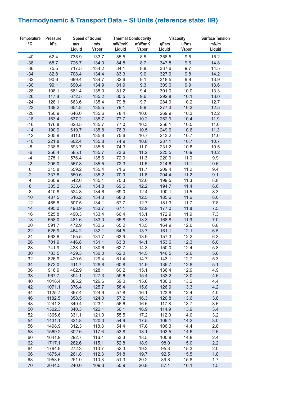## **Thermodynamic & Transport Data – SI Units (reference state: IIR)**

| <b>Temperature</b> | <b>Pressure</b> |        | <b>Speed of Sound</b> |        | <b>Thermal Conductivity</b> |        | <b>Viscosity</b> | <b>Surface Tension</b> |
|--------------------|-----------------|--------|-----------------------|--------|-----------------------------|--------|------------------|------------------------|
| $\circ$ C          | kPa             | m/s    | m/s                   | mW/m•K | mW/m•K                      | uPa•s  | uPa•s            | mN/m                   |
|                    |                 | Liquid | Vapor                 | Liquid | Vapor                       | Liquid | Vapor            | Liquid                 |
| $-40$              | 62.4            | 735.9  | 133.7                 | 85.5   | 8.5                         | 358.5  | 9.5              | 15.2                   |
| $-38$              | 68.7            | 726.7  | 134.0                 | 84.8   | 8.7                         | 347.8  | 9.6              | 14.8                   |
|                    |                 |        |                       |        |                             |        |                  |                        |
| $-36$              | 75.5            | 717.5  | 134.2                 | 84.1   | 8.8                         | 337.6  | 9.7              | 14.5                   |
| $-34$              | 82.8            | 708.4  | 134.4                 | 83.3   | 9.0                         | 327.9  | 9.8              | 14.2                   |
| $-32$              | 90.6            | 699.4  | 134.7                 | 82.6   | 9.1                         | 318.5  | 9.9              | 13.9                   |
| $-30$              | 99.1            | 690.4  | 134.9                 | 81.9   | 9.3                         | 309.6  | 9.9              | 13.6                   |
| $-28$              | 108.1           | 681.4  | 135.0                 | 81.2   | 9.4                         | 301.0  | 10.0             | 13.3                   |
| $-26$              | 117.8           | 672.5  | 135.2                 | 80.5   | 9.6                         | 292.8  | 10.1             | 13.0                   |
| $-24$              | 128.1           | 663.6  | 135.4                 | 79.8   | 9.7                         | 284.9  | 10.2             | 12.7                   |
| $-22$              | 139.2           | 654.8  | 135.5                 | 79.1   | 9.9                         | 277.3  | 10.3             | 12.5                   |
| $-20$              | 150.9           | 646.0  | 135.6                 | 78.4   | 10.0                        | 269.9  | 10.3             | 12.2                   |
| $-18$              | 163.4           | 637.2  | 135.7                 | 77.7   | 10.2                        | 262.9  | 10.4             | 11.9                   |
| $-16$              | 176.8           | 628.5  | 135.7                 | 77.0   | 10.3                        | 256.1  | 10.5             | 11.6                   |
| $-14$              | 190.9           | 619.7  | 135.8                 | 76.3   | 10.5                        | 249.6  | 10.6             | 11.3                   |
| $-12$              | 205.9           | 611.0  | 135.8                 | 75.6   | 10.7                        | 243.2  | 10.7             | 11.0                   |
| $-10$              | 221.8           | 602.4  | 135.8                 | 74.9   | 10.8                        | 237.1  | 10.7             | 10.7                   |
| -8                 | 238.6           | 593.7  | 135.8                 | 74.3   | 11.0                        | 231.2  | 10.8             | 10.5                   |
| $-6$               | 256.4           | 585.1  | 135.7                 | 73.6   | 11.2                        | 225.5  | 10.9             | 10.2                   |
| $-4$               | 275.1           | 576.4  | 135.6                 | 72.9   | 11.3                        | 220.0  | 11.0             | 9.9                    |
| $-2$               | 295.0           | 567.8  | 135.5                 | 72.3   | 11.5                        | 214.6  | 11.1             | 9.6                    |
| $\mathbf 0$        | 315.8           | 559.2  | 135.4                 | 71.6   | 11.7                        | 209.4  | 11.2             | 9.4                    |
| $\overline{2}$     | 337.8           | 550.6  | 135.2                 | 70.9   | 11.8                        | 204.4  | 11.2             | 9.1                    |
| 4                  | 360.9           | 542.0  | 135.1                 | 70.3   | 12.0                        | 199.5  | 11.3             | 8.8                    |
| $\,$ 6 $\,$        | 385.2           | 533.4  | 134.8                 | 69.6   | 12.2                        | 194.7  | 11.4             | 8.6                    |
| $\,8\,$            | 410.8           | 524.8  | 134.6                 | 69.0   | 12.4                        | 190.1  | 11.5             | 8.3                    |
| 10                 | 437.5           | 516.2  | 134.3                 | 68.3   | 12.5                        | 185.6  | 11.6             | 8.0                    |
| 12                 | 465.6           | 507.5  | 134.1                 | 67.7   | 12.7                        | 181.3  | 11.7             | 7.8                    |
| 14                 | 495.0           | 498.9  | 133.7                 | 67.1   | 12.9                        | 177.0  | 11.8             | 7.5                    |
| 16                 | 525.8           | 490.3  | 133.4                 | 66.4   | 13.1                        | 172.9  | 11.9             | 7.3                    |
| 18                 | 558.0           | 481.6  | 133.0                 | 65.8   | 13.3                        | 168.8  | 11.9             | 7.0                    |
| 20                 | 591.7           | 472.9  | 132.6                 | 65.2   | 13.5                        | 164.9  | 12.0             | 6.8                    |
| 22                 | 626.9           | 464.2  | 132.1                 | 64.5   | 13.7                        | 161.1  | 12.1             | 6.5                    |
| 24                 | 663.6           | 455.5  | 131.7                 | 63.9   | 13.9                        | 157.3  | 12.2             | 6.3                    |
| 26                 | 701.9           | 446.8  | 131.1                 | 63.3   | 14.1                        | 153.6  | 12.3             | 6.0                    |
| 28                 | 741.9           | 438.1  | 130.6                 | 62.7   | 14.3                        | 150.0  | 12.4             | 5.8                    |
| 30                 | 783.5           | 429.3  | 130.0                 | 62.0   | 14.5                        | 146.5  | 12.6             | 5.6                    |
| 32                 | 826.9           | 420.5  | 129.4                 | 61.4   | 14.7                        | 143.1  | 12.7             | 5.3                    |
| 34                 | 872.0           | 411.7  | 128.8                 | 60.8   | 14.9                        | 139.7  | 12.8             | 5.1                    |
| 36                 | 918.9           | 402.9  | 128.1                 | 60.2   | 15.1                        | 136.4  | 12.9             | 4.9                    |
| 38                 | 967.7           | 394.1  | 127.3                 | 59.6   | 15.4                        | 133.2  | 13.0             | 4.6                    |
| 40                 | 1018.4          | 385.2  | 126.6                 | 59.0   | 15.6                        | 130.0  | 13.2             | 4.4                    |
| 42                 | 1071.1          | 376.4  | 125.7                 | 58.4   | 15.8                        | 126.9  | 13.3             | 4.2                    |
|                    |                 | 367.4  | 124.9                 |        |                             |        |                  |                        |
| 44                 | 1125.7          |        | 124.0                 | 57.8   | 16.1                        | 123.8  | 13.4             | 4.0                    |
| 46                 | 1182.5          | 358.5  |                       | 57.2   | 16.3                        | 120.8  | 13.6             | 3.8                    |
| 48                 | 1241.3          | 349.4  | 123.1                 | 56.6   | 16.6                        | 117.8  | 13.7             | 3.6                    |
| 50                 | 1302.3          | 340.3  | 122.1                 | 56.1   | 16.9                        | 114.9  | 13.9             | 3.4                    |
| 52                 | 1365.6          | 331.1  | 121.0                 | 55.5   | 17.2                        | 112.0  | 14.0             | 3.2                    |
| 54                 | 1431.1          | 321.8  | 120.0                 | 54.9   | 17.5                        | 109.1  | 14.2             | 3.0                    |
| 56                 | 1498.9          | 312.3  | 118.8                 | 54.4   | 17.8                        | 106.3  | 14.4             | 2.8                    |
| 58                 | 1569.2          | 302.6  | 117.6                 | 53.8   | 18.1                        | 103.5  | 14.6             | 2.6                    |
| 60                 | 1641.9          | 292.7  | 116.4                 | 53.3   | 18.5                        | 100.8  | 14.8             | 2.4                    |
| 62                 | 1717.1          | 282.6  | 115.1                 | 52.8   | 18.9                        | 98.0   | 15.0             | 2.2                    |
| 64                 | 1794.9          | 272.3  | 113.7                 | 52.3   | 19.3                        | 95.3   | 15.3             | 2.0                    |
| 66                 | 1875.4          | 261.8  | 112.3                 | 51.8   | 19.7                        | 92.5   | 15.5             | 1.8                    |
| 68                 | 1958.6          | 251.0  | 110.8                 | 51.3   | 20.2                        | 89.8   | 15.8             | 1.7                    |
| 70                 | 2044.5          | 240.0  | 109.3                 | 50.9   | 20.8                        | 87.1   | 16.1             | 1.5                    |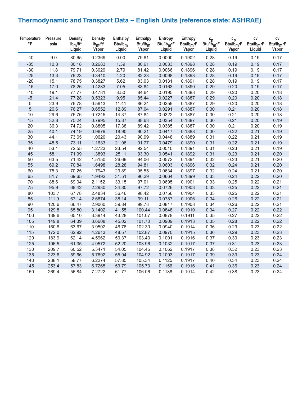## **Thermodynamic and Transport Data – English Units (reference state: ASHRAE)**

| <b>Temperature</b><br>$\circ$ F | Pressure<br>psia | <b>Density</b><br>$Ib_m/ft^3$<br>Liquid | <b>Density</b><br>$Ib_m/ft^3$<br>Vapor | <b>Enthalpy</b><br>$Btu/lb_m$<br>Liquid | <b>Enthalpy</b><br>$Btu/lb_m$<br>Vapor | Entropy<br>$Btu/lb_{m}$ <sup>*</sup> F<br>Liquid | Entropy<br>$Btu/lb_m$ <sup>*</sup> F<br>Vapor | $\frac{c_p}{Btu/lb_m}$ F<br>Liquid | $\overset{\mathbf{c}_{\mathbf{p}}}{\text{Btu/lb}_{\mathbf{m}^{\bullet}}\text{F}}$<br>Vapor | CV<br>$Btu/lb_m \cdot F$<br>Liquid | CV<br>$Btu/lb_m$ <sup>-F</sup><br>Vapor |
|---------------------------------|------------------|-----------------------------------------|----------------------------------------|-----------------------------------------|----------------------------------------|--------------------------------------------------|-----------------------------------------------|------------------------------------|--------------------------------------------------------------------------------------------|------------------------------------|-----------------------------------------|
| $-40$                           | 9.0              | 80.65                                   | 0.2369                                 | 0.00                                    | 79.81                                  | 0.0000                                           | 0.1902                                        | 0.28                               | 0.19                                                                                       | 0.19                               | 0.17                                    |
| $-35$                           | 10.3             | 80.18                                   | 0.2683                                 | 1.39                                    | 80.61                                  | 0.0033                                           | 0.1898                                        | 0.28                               | 0.19                                                                                       | 0.19                               | 0.17                                    |
| $-30$                           | 11.8             | 79.71                                   | 0.3029                                 | 2.79                                    | 81.42                                  | 0.0066                                           | 0.1896                                        | 0.28                               | 0.19                                                                                       | 0.19                               | 0.17                                    |
| $-25$                           | 13.3             | 79.23                                   | 0.3410                                 | 4.20                                    | 82.23                                  | 0.0098                                           | 0.1893                                        | 0.28                               | 0.19                                                                                       | 0.19                               | 0.17                                    |
| $-20$                           | 15.1             | 78.75                                   | 0.3827                                 | 5.62                                    | 83.03                                  | 0.0131                                           | 0.1891                                        | 0.28                               | 0.19                                                                                       | 0.19                               | 0.17                                    |
| $-15$                           | 17.0             | 78.26                                   | 0.4283                                 | 7.05                                    | 83.84                                  | 0.0163                                           | 0.1890                                        | 0.29                               | 0.20                                                                                       | 0.19                               | 0.17                                    |
| $-10$                           | 19.1             | 77.77                                   | 0.4781                                 | 8.50                                    | 84.64                                  | 0.0195                                           | 0.1888                                        | 0.29                               | 0.20                                                                                       | 0.20                               | 0.18                                    |
| $-5$                            | 21.4             | 77.28                                   | 0.5323                                 | 9.95                                    | 85.44                                  | 0.0227                                           | 0.1887                                        | 0.29                               | 0.20                                                                                       | 0.20                               | 0.18                                    |
| 0                               | 23.9             | 76.78                                   | 0.5913                                 | 11.41                                   | 86.24                                  | 0.0259                                           | 0.1887                                        | 0.29                               | 0.20                                                                                       | 0.20                               | 0.18                                    |
| 5                               | 26.6             | 76.27                                   | 0.6552                                 | 12.89                                   | 87.04                                  | 0.0291                                           | 0.1887                                        | 0.30                               | 0.21                                                                                       | 0.20                               | 0.18                                    |
| 10                              | 29.6             | 75.76                                   | 0.7245                                 | 14.37                                   | 87.84                                  | 0.0322                                           | 0.1887                                        | 0.30                               | 0.21                                                                                       | 0.20                               | 0.18                                    |
| 15                              | 32.8             | 75.24                                   | 0.7995                                 | 15.87                                   | 88.63                                  | 0.0354                                           | 0.1887                                        | 0.30                               | 0.21                                                                                       | 0.20                               | 0.19                                    |
| 20                              | 36.3             | 74.72                                   | 0.8805                                 | 17.38                                   | 89.42                                  | 0.0385                                           | 0.1887                                        | 0.30                               | 0.21                                                                                       | 0.20                               | 0.19                                    |
| 25                              | 40.1             | 74.19                                   | 0.9679                                 | 18.90                                   | 90.21                                  | 0.0417                                           | 0.1888                                        | 0.30                               | 0.22                                                                                       | 0.21                               | 0.19                                    |
| 30                              | 44.1             | 73.65                                   | 1.0620                                 | 20.43                                   | 90.99                                  | 0.0448                                           | 0.1889                                        | 0.31                               | 0.22                                                                                       | 0.21                               | 0.19                                    |
| 35                              | 48.5             | 73.11                                   | 1.1633                                 | 21.98                                   | 91.77                                  | 0.0479                                           | 0.1890                                        | 0.31                               | 0.22                                                                                       | 0.21                               | 0.19                                    |
| 40                              | 53.1             | 72.55                                   | 1.2723                                 | 23.54                                   | 92.54                                  | 0.0510                                           | 0.1891                                        | 0.31                               | 0.23                                                                                       | 0.21                               | 0.19                                    |
| 45                              | 58.1             | 71.99                                   | 1.3893                                 | 25.11                                   | 93.30                                  | 0.0541                                           | 0.1892                                        | 0.31                               | 0.23                                                                                       | 0.21                               | 0.20                                    |
| 50                              | 63.5             | 71.42                                   | 1.5150                                 | 26.69                                   | 94.06                                  | 0.0572                                           | 0.1894                                        | 0.32                               | 0.23                                                                                       | 0.21                               | 0.20                                    |
| 55                              | 69.2             | 70.84                                   | 1.6498                                 | 28.28                                   | 94.81                                  | 0.0603                                           | 0.1896                                        | 0.32                               | 0.24                                                                                       | 0.21                               | 0.20                                    |
| 60                              | 75.3             | 70.25                                   | 1.7943                                 | 29.89                                   | 95.55                                  | 0.0634                                           | 0.1897                                        | 0.32                               | 0.24                                                                                       | 0.21                               | 0.20                                    |
| 65                              | 81.7             | 69.65                                   | 1.9492                                 | 31.51                                   | 96.29                                  | 0.0664                                           | 0.1899                                        | 0.33                               | 0.24                                                                                       | 0.22                               | 0.20                                    |
| 70                              | 88.6             | 69.04                                   | 2.1152                                 | 33.15                                   | 97.01                                  | 0.0695                                           | 0.1901                                        | 0.33                               | 0.25                                                                                       | 0.22                               | 0.21                                    |
| 75                              | 95.9             | 68.42                                   | 2.2930                                 | 34.80                                   | 97.72                                  | 0.0726                                           | 0.1903                                        | 0.33                               | 0.25                                                                                       | 0.22                               | 0.21                                    |
| 80                              | 103.7            | 67.78                                   | 2.4834                                 | 36.46                                   | 98.42                                  | 0.0756                                           | 0.1904                                        | 0.33                               | 0.25                                                                                       | 0.22                               | 0.21                                    |
| 85                              | 111.9            | 67.14                                   | 2.6874                                 | 38.14                                   | 99.11                                  | 0.0787                                           | 0.1906                                        | 0.34                               | 0.26                                                                                       | 0.22                               | 0.21                                    |
| $90\,$                          | 120.6            | 66.47                                   | 2.9060                                 | 39.84                                   | 99.78                                  | 0.0817                                           | 0.1908                                        | 0.34                               | 0.26                                                                                       | 0.22                               | 0.21                                    |
| 95                              | 129.8            | 65.80                                   | 3.1402                                 | 41.55                                   | 100.44                                 | 0.0848                                           | 0.1910                                        | 0.34                               | 0.27                                                                                       | 0.22                               | 0.22                                    |
| 100                             | 139.6            | 65.10                                   | 3.3914                                 | 43.28                                   | 101.07                                 | 0.0878                                           | 0.1911                                        | 0.35                               | 0.27                                                                                       | 0.22                               | 0.22                                    |
| 105                             | 149.8            | 64.39                                   | 3.6608                                 | 45.02                                   | 101.70                                 | 0.0909                                           | 0.1913                                        | 0.35                               | 0.28                                                                                       | 0.22                               | 0.22                                    |
| 110                             | 160.6            | 63.67                                   | 3.9502                                 | 46.78                                   | 102.30                                 | 0.0940                                           | 0.1914                                        | 0.36                               | 0.29                                                                                       | 0.23                               | 0.22                                    |
| 115                             | 172.0            | 62.92                                   | 4.2613                                 | 48.57                                   | 102.87                                 | 0.0970                                           | 0.1915                                        | 0.36                               | 0.29                                                                                       | 0.23                               | 0.23                                    |
| 120                             | 183.9            | 62.14                                   | 4.5962                                 | 50.37                                   | 103.43                                 | 0.1001                                           | 0.1916                                        | 0.37                               | 0.30                                                                                       | 0.23                               | 0.23                                    |
| 125                             | 196.5            | 61.35                                   | 4.9572                                 | 52.20                                   | 103.96                                 | 0.1032                                           | 0.1917                                        | 0.37                               | 0.31                                                                                       | 0.23                               | 0.23                                    |
| 130                             | 209.7            | 60.52                                   | 5.3471                                 | 54.05                                   | 104.45                                 | 0.1062                                           | 0.1917                                        | 0.38                               | 0.32                                                                                       | 0.23                               | 0.23                                    |
| 135                             | 223.6            | 59.66                                   | 5.7692                                 | 55.94                                   | 104.92                                 | 0.1093                                           | 0.1917                                        | 0.39                               | 0.33                                                                                       | 0.23                               | 0.24                                    |
| 140                             | 238.1            | 58.77                                   | 6.2274                                 | 57.85                                   | 105.34                                 | 0.1125                                           | 0.1917                                        | 0.40                               | 0.34                                                                                       | 0.23                               | 0.24                                    |
| 145                             | 253.4            | 57.83                                   | 6.7265                                 | 59.79                                   | 105.73                                 | 0.1156                                           | 0.1916                                        | 0.41                               | 0.36                                                                                       | 0.23                               | 0.24                                    |
| 150                             | 269.4            | 56.84                                   | 7.2722                                 | 61.77                                   | 106.06                                 | 0.1188                                           | 0.1914                                        | 0.42                               | 0.38                                                                                       | 0.23                               | 0.24                                    |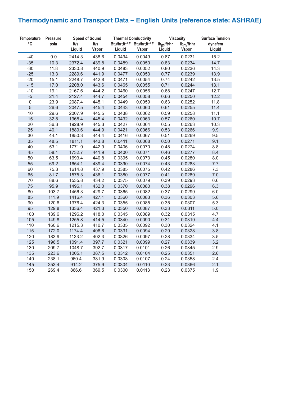## **Thermodynamic and Transport Data – English Units (reference state: ASHRAE)**

| <b>Temperature</b> | <b>Pressure</b> | <b>Speed of Sound</b> |       | <b>Thermal Conductivity</b> |                           |                        | <b>Viscosity</b>       | <b>Surface Tension</b> |
|--------------------|-----------------|-----------------------|-------|-----------------------------|---------------------------|------------------------|------------------------|------------------------|
| $\circ$ C          | psia            | ft/s                  | ft/s  |                             | Btu/hr;ft.°F Btu/hr;ft.°F | lb <sub>m</sub> /ft·hr | lb <sub>m</sub> /ft•hr | dyne/cm                |
|                    |                 | Liquid                | Vapor | Liquid                      | Vapor                     | Liquid                 | Vapor                  | Liquid                 |
| $-40$              | 9.0             | 2414.3                | 438.6 | 0.0494                      | 0.0049                    | 0.87                   | 0.0231                 | 15.2                   |
| $-35$              | 10.3            | 2372.4                | 439.8 | 0.0489                      | 0.0050                    | 0.83                   | 0.0234                 | 14.7                   |
| $-30$              | 11.8            | 2330.8                | 440.9 | 0.0483                      | 0.0052                    | 0.80                   | 0.0236                 | 14.3                   |
| $-25$              | 13.3            | 2289.6                | 441.9 | 0.0477                      | 0.0053                    | 0.77                   | 0.0239                 | 13.9                   |
| $-20$              | 15.1            | 2248.7                | 442.8 | 0.0471                      | 0.0054                    | 0.74                   | 0.0242                 | 13.5                   |
| $-15$              | 17.0            | 2208.0                | 443.6 | 0.0465                      | 0.0055                    | 0.71                   | 0.0244                 | 13.1                   |
| $-10$              | 19.1            | 2167.6                | 444.2 | 0.0460                      | 0.0056                    | 0.68                   | 0.0247                 | 12.7                   |
| $-5$               | 21.4            | 2127.4                | 444.7 | 0.0454                      | 0.0058                    | 0.66                   | 0.0250                 | 12.2                   |
| $\mathbf 0$        | 23.9            | 2087.4                | 445.1 | 0.0449                      | 0.0059                    | 0.63                   | 0.0252                 | 11.8                   |
| 5                  | 26.6            | 2047.5                | 445.4 | 0.0443                      | 0.0060                    | 0.61                   | 0.0255                 | 11.4                   |
| 10                 | 29.6            | 2007.9                | 445.5 | 0.0438                      | 0.0062                    | 0.59                   | 0.0258                 | 11.1                   |
| 15                 | 32.8            | 1968.4                | 445.4 | 0.0432                      | 0.0063                    | 0.57                   | 0.0260                 | 10.7                   |
| 20                 | 36.3            | 1928.9                | 445.3 | 0.0427                      | 0.0064                    | 0.55                   | 0.0263                 | 10.3                   |
| 25                 | 40.1            | 1889.6                | 444.9 | 0.0421                      | 0.0066                    | 0.53                   | 0.0266                 | 9.9                    |
| 30                 | 44.1            | 1850.3                | 444.4 | 0.0416                      | 0.0067                    | 0.51                   | 0.0269                 | 9.5                    |
| 35                 | 48.5            | 1811.1                | 443.8 | 0.0411                      | 0.0068                    | 0.50                   | 0.0271                 | 9.1                    |
| 40                 | 53.1            | 1771.9                | 442.9 | 0.0406                      | 0.0070                    | 0.48                   | 0.0274                 | 8.8                    |
| 45                 | 58.1            | 1732.7                | 441.9 | 0.0400                      | 0.0071                    | 0.46                   | 0.0277                 | 8.4                    |
| 50                 | 63.5            | 1693.4                | 440.8 | 0.0395                      | 0.0073                    | 0.45                   | 0.0280                 | 8.0                    |
| 55                 | 69.2            | 1654.1                | 439.4 | 0.0390                      | 0.0074                    | 0.43                   | 0.0283                 | 7.7                    |
| 60                 | 75.3            | 1614.8                | 437.9 | 0.0385                      | 0.0075                    | 0.42                   | 0.0286                 | 7.3                    |
| 65                 | 81.7            | 1575.3                | 436.1 | 0.0380                      | 0.0077                    | 0.41                   | 0.0289                 | 7.0                    |
| 70                 | 88.6            | 1535.8                | 434.2 | 0.0375                      | 0.0079                    | 0.39                   | 0.0293                 | 6.6                    |
| 75                 | 95.9            | 1496.1                | 432.0 | 0.0370                      | 0.0080                    | 0.38                   | 0.0296                 | 6.3                    |
| 80                 | 103.7           | 1456.3                | 429.7 | 0.0365                      | 0.0082                    | 0.37                   | 0.0299                 | 6.0                    |
| 85                 | 111.9           | 1416.4                | 427.1 | 0.0360                      | 0.0083                    | 0.36                   | 0.0303                 | 5.6                    |
| 90                 | 120.6           | 1376.4                | 424.3 | 0.0355                      | 0.0085                    | 0.35                   | 0.0307                 | 5.3                    |
| 95                 | 129.8           | 1336.4                | 421.3 | 0.0350                      | 0.0087                    | 0.33                   | 0.0311                 | 5.0                    |
| 100                | 139.6           | 1296.2                | 418.0 | 0.0345                      | 0.0089                    | 0.32                   | 0.0315                 | 4.7                    |
| 105                | 149.8           | 1255.8                | 414.5 | 0.0340                      | 0.0090                    | 0.31                   | 0.0319                 | 4.4                    |
| 110                | 160.6           | 1215.3                | 410.7 | 0.0335                      | 0.0092                    | 0.30                   | 0.0324                 | 4.1                    |
| 115                | 172.0           | 1174.4                | 406.6 | 0.0331                      | 0.0094                    | 0.29                   | 0.0328                 | 3.8                    |
| 120                | 183.9           | 1133.2                | 402.3 | 0.0326                      | 0.0097                    | 0.28                   | 0.0334                 | 3.5                    |
| 125                | 196.5           | 1091.4                | 397.7 | 0.0321                      | 0.0099                    | 0.27                   | 0.0339                 | 3.2                    |
| 130                | 209.7           | 1048.7                | 392.7 | 0.0317                      | 0.0101                    | 0.26                   | 0.0345                 | 2.9                    |
| 135                | 223.6           | 1005.1                | 387.5 | 0.0312                      | 0.0104                    | 0.25                   | 0.0351                 | 2.6                    |
| 140                | 238.1           | 960.4                 | 381.9 | 0.0308                      | 0.0107                    | 0.24                   | 0.0358                 | 2.4                    |
| 145                | 253.4           | 914.2                 | 375.9 | 0.0304                      | 0.0110                    | 0.23                   | 0.0366                 | 2.1                    |
| 150                | 269.4           | 866.6                 | 369.5 | 0.0300                      | 0.0113                    | 0.23                   | 0.0375                 | 1.9                    |